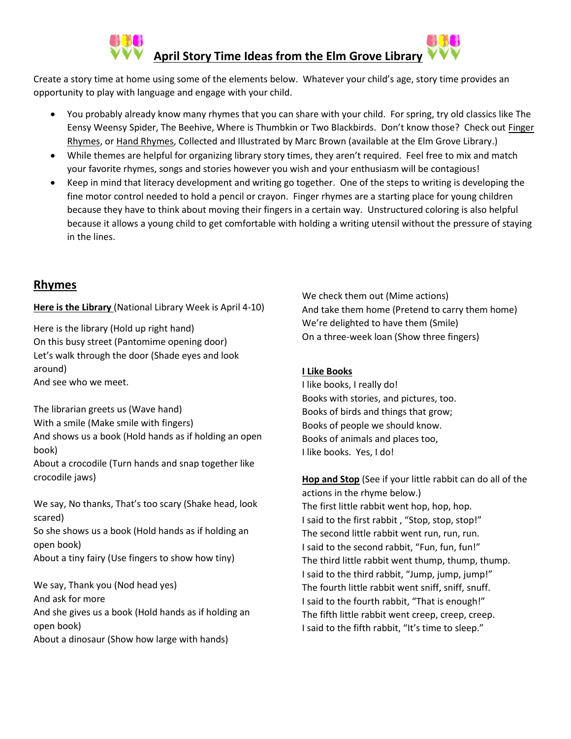

Create a story time at home using some of the elements below. Whatever your child's age, story time provides an opportunity to play with language and engage with your child.

- You probably already know many rhymes that you can share with your child. For spring, try old classics like The Eensy Weensy Spider, The Beehive, Where is Thumbkin or Two Blackbirds. Don't know those? Check out Finger Rhymes, or Hand Rhymes, Collected and Illustrated by Marc Brown (available at the Elm Grove Library.)
- While themes are helpful for organizing library story times, they aren't required. Feel free to mix and match your favorite rhymes, songs and stories however you wish and your enthusiasm will be contagious!
- Keep in mind that literacy development and writing go together. One of the steps to writing is developing the fine motor control needed to hold a pencil or crayon. Finger rhymes are a starting place for young children because they have to think about moving their fingers in a certain way. Unstructured coloring is also helpful because it allows a young child to get comfortable with holding a writing utensil without the pressure of staying in the lines.

## **Rhymes**

**Here is the Library** (National Library Week is April 4-10)

Here is the library (Hold up right hand) On this busy street (Pantomime opening door) Let's walk through the door (Shade eyes and look around) And see who we meet.

The librarian greets us (Wave hand) With a smile (Make smile with fingers) And shows us a book (Hold hands as if holding an open book) About a crocodile (Turn hands and snap together like crocodile jaws)

We say, No thanks, That's too scary (Shake head, look scared)

So she shows us a book (Hold hands as if holding an open book)

About a tiny fairy (Use fingers to show how tiny)

We say, Thank you (Nod head yes) And ask for more And she gives us a book (Hold hands as if holding an open book) About a dinosaur (Show how large with hands)

We check them out (Mime actions) And take them home (Pretend to carry them home) We're delighted to have them (Smile) On a three-week loan (Show three fingers)

### **I Like Books**

I like books, I really do! Books with stories, and pictures, too. Books of birds and things that grow; Books of people we should know. Books of animals and places too, I like books. Yes, I do!

**Hop and Stop** (See if your little rabbit can do all of the actions in the rhyme below.) The first little rabbit went hop, hop, hop. I said to the first rabbit , "Stop, stop, stop!" The second little rabbit went run, run, run. I said to the second rabbit, "Fun, fun, fun!" The third little rabbit went thump, thump, thump. I said to the third rabbit, "Jump, jump, jump!" The fourth little rabbit went sniff, sniff, snuff. I said to the fourth rabbit, "That is enough!" The fifth little rabbit went creep, creep, creep. I said to the fifth rabbit, "It's time to sleep."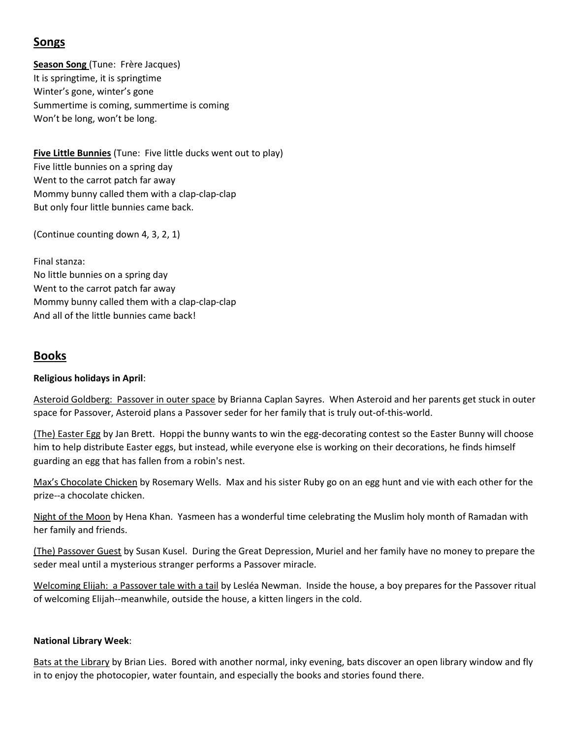# **Songs**

**Season Song** (Tune: Frère Jacques) It is springtime, it is springtime Winter's gone, winter's gone Summertime is coming, summertime is coming Won't be long, won't be long.

**Five Little Bunnies** (Tune: Five little ducks went out to play) Five little bunnies on a spring day Went to the carrot patch far away Mommy bunny called them with a clap-clap-clap But only four little bunnies came back.

(Continue counting down 4, 3, 2, 1)

Final stanza: No little bunnies on a spring day Went to the carrot patch far away Mommy bunny called them with a clap-clap-clap And all of the little bunnies came back!

# **Books**

#### **Religious holidays in April**:

Asteroid Goldberg: Passover in outer space by Brianna Caplan Sayres. When Asteroid and her parents get stuck in outer space for Passover, Asteroid plans a Passover seder for her family that is truly out-of-this-world.

(The) Easter Egg by Jan Brett. Hoppi the bunny wants to win the egg-decorating contest so the Easter Bunny will choose him to help distribute Easter eggs, but instead, while everyone else is working on their decorations, he finds himself guarding an egg that has fallen from a robin's nest.

Max's Chocolate Chicken by Rosemary Wells. Max and his sister Ruby go on an egg hunt and vie with each other for the prize--a chocolate chicken.

Night of the Moon by Hena Khan. Yasmeen has a wonderful time celebrating the Muslim holy month of Ramadan with her family and friends.

(The) Passover Guest by Susan Kusel. During the Great Depression, Muriel and her family have no money to prepare the seder meal until a mysterious stranger performs a Passover miracle.

Welcoming Elijah: a Passover tale with a tail by Lesléa Newman. Inside the house, a boy prepares for the Passover ritual of welcoming Elijah--meanwhile, outside the house, a kitten lingers in the cold.

#### **National Library Week**:

Bats at the Library by Brian Lies. Bored with another normal, inky evening, bats discover an open library window and fly in to enjoy the photocopier, water fountain, and especially the books and stories found there.